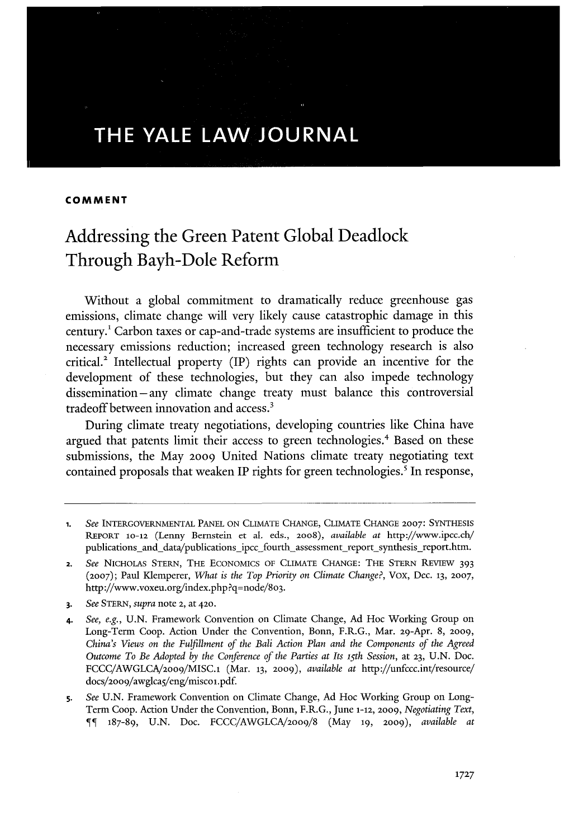# **THE YALE LAW JOURNAL**

#### **COMMENT**

# Addressing the Green Patent Global Deadlock Through Bayh-Dole Reform

Without a global commitment to dramatically reduce greenhouse gas emissions, climate change will very likely cause catastrophic damage in this century. Carbon taxes or cap-and-trade systems are insufficient to produce the necessary emissions reduction; increased green technology research is also critical.2 Intellectual property (IP) rights can provide an incentive for the development of these technologies, but they can also impede technology dissemination- any climate change treaty must balance this controversial tradeoff between innovation and access. <sup>3</sup>

During climate treaty negotiations, developing countries like China have argued that patents limit their access to green technologies.<sup>4</sup> Based on these submissions, the May 2009 United Nations climate treaty negotiating text contained proposals that wealen IP rights for green technologies.' In response,

**<sup>1.</sup>** *See* INTERGOVERNMENTAL PANEL ON CLIMATE CHANGE, CLIMATE CHANGE **2007:** SYNTHESIS REPORT **10-12** (Lenny Bernstein et al. eds., 2oo8), *available at* http://www.ipcc.cb/ publications\_and\_data/publications\_ipcc\_fourth\_assessment\_report\_synthesis\_report.htm.

<sup>2.</sup> *See* NICHOLAS STERN, THE ECONOMICS OF CLIMATE CHANGE: THE STERN REVIEW 393 **(2007);** Paul Klemperer, *What is the Top Priority on Climate Change?,* Vox, Dec. **13, 2007,** http://www.voxeu.org/index.php ?q=node/8o3.

<sup>3.</sup> *See* STERN, *supra* note 2, at 420.

<sup>4.</sup> *See, e.g.,* U.N. Framework Convention on Climate Change, Ad Hoc Working Group on Long-Term Coop. Action Under the Convention, Bonn, F.R.G., Mar. 29-Apr. 8, 2009, *China's Views on the Fulfillment of the Bali Action Plan and the Components of the Agreed Outcome To Be Adopted by the Conference of the Parties at Its 15 th Session,* at **23,** U.N. Doc. FCCC/AWGLCA/2oo9/MISC.1 (Mar. 13, **2009),** *available at* http://unfccc.int/resource/ docs/2oo9/awglcaS/eng/miscol.pdf.

<sup>5.</sup> *See* U.N. Framework Convention on Climate Change, Ad Hoc Working Group on Long-Term Coop. Action Under the Convention, Bonn, F.R.G., June 1-12, 2009, *Negotiating Text,* 187-89, U.N. Doc. FCCC/AWGLCA/2oog/8 (May **19,** 2009), *available at*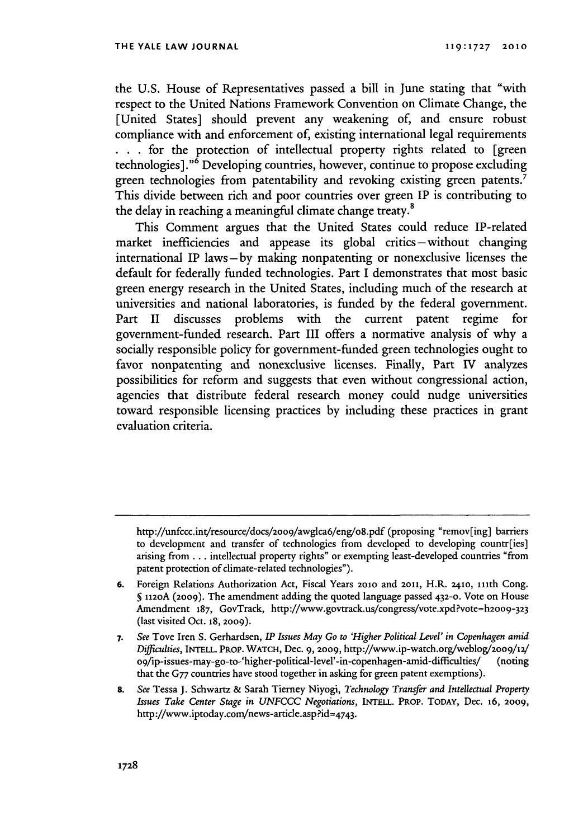the U.S. House of Representatives passed a bill in June stating that "with respect to the United Nations Framework Convention on Climate Change, the [United States] should prevent any weakening of, and ensure robust compliance with and enforcement of, existing international legal requirements **. . .** for the protection of intellectual property rights related to [green technologies]." $\delta$  Developing countries, however, continue to propose excluding green technologies from patentability and revoking existing green patents.<sup>7</sup> This divide between rich and poor countries over green IP is contributing to the delay in reaching a meaningful climate change treaty.<sup>8</sup>

This Comment argues that the United States could reduce IP-related market inefficiencies and appease its global critics-without changing international IP laws-by making nonpatenting or nonexclusive licenses the default for federally funded technologies. Part I demonstrates that most basic green energy research in the United States, including much of the research at universities and national laboratories, is funded by the federal government. Part II discusses problems with the current patent regime for government-funded research. Part III offers a normative analysis of why a socially responsible policy for government-funded green technologies ought to favor nonpatenting and nonexclusive licenses. Finally, Part **IV** analyzes possibilities for reform and suggests that even without congressional action, agencies that distribute federal research money could nudge universities toward responsible licensing practices by including these practices in grant evaluation criteria.

http://unfccc.int/resource/docs/2oo9/awglca6/eng/o8.pdf (proposing "remov[ing] barriers to development and transfer of technologies from developed to developing countr[ies] arising from... intellectual property rights" or exempting least-developed countries "from patent protection of climate-related technologies").

**<sup>6.</sup>** Foreign Relations Authorization Act, Fiscal Years **20o** and **2011,** H.R. 24io, ith Cong. **§** 112oA (2009). The amendment adding the quoted language passed **432-0.** Vote on House Amendment 187, GovTrack, http://www.govtrack.us/congress/vote.xpd?vote=h2009-323 (last visited Oct. **18, 2009).**

**<sup>7.</sup>** *See* Tove Iren **S.** Gerhardsen, *IP Issues May Go to 'Higher Political Level' in Copenhagen amid Difficulties,* **INTELL.** PROP. WATCH, Dec. 9, **2009,** http://www.ip-watch.org/weblog/2009/12/ 09/ip-issues-may-go-to-'higher-political-level'-in-copenhagen-amid-difficuties/ (noting that the G77 countries have stood together in asking for green patent exemptions).

**<sup>8.</sup>** *See* Tessa **J.** Schwartz & Sarah Tierney Niyogi, *Technology Transfer and Intellectual Property Issues Take Center Stage in* UNFCCC *Negotiations,* **INTELL.** PROP. TODAY, Dec. 16, **2009,** http://www.iptoday.com/news-article.asp?id=4743.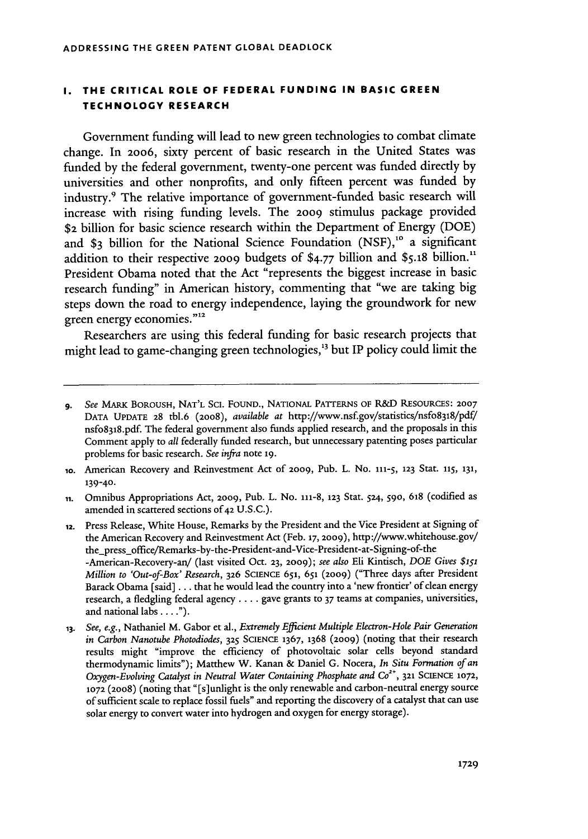#### **I. THE CRITICAL ROLE OF FEDERAL FUNDING IN BASIC GREEN TECHNOLOGY RESEARCH**

Government funding will lead to new green technologies to combat climate change. In **2006,** sixty percent of basic research in the United States was funded by the federal government, twenty-one percent was funded directly by universities and other nonprofits, and only fifteen percent was funded by industry.9 The relative importance of government-funded basic research will increase with rising funding levels. The 2009 stimulus package provided \$2 billion for basic science research within the Department of Energy (DOE) and \$3 billion for the National Science Foundation (NSF),<sup>10</sup> a significant addition to their respective 2009 budgets of **\$4.77** billion and **\$5.18** billion." President Obama noted that the Act "represents the biggest increase in basic research funding" in American history, commenting that "we are taking big steps down the road to energy independence, laying the groundwork for new green energy economies."<sup>12</sup>

Researchers are using this federal funding for basic research projects that might lead to game-changing green technologies,<sup>13</sup> but IP policy could limit the

**ii.** Omnibus Appropriations Act, 2009, Pub. L. No. 111-8, **123** Star. 524, 590, **618** (codified as amended in scattered sections of **42** U.S.C.).

**12.** Press Release, White House, Remarks by the President and the Vice President at Signing of the American Recovery and Reinvestment Act (Feb. **17, 2009),** http://www.whitehouse.gov/ the\_press\_office/Remarks-by-the-President-and-Vice-President-at-Signing-of-the -American-Recovery-an/ (last visited Oct. **23,** 2009); *see also* Eli Kintisch, *DOE Gives* \$151 *Million to 'Out-of-Box' Research,* **326** SCIENCE 651, 651 (2009) ("Three days after President Barack Obama (said] ... that he would lead the country into a 'new frontier' of clean energy research, a fledgling federal agency .... gave grants to 37 teams at companies, universities, and national labs **.... ").**

**<sup>9.</sup>** *See* MARK BOROUSH, NAT'L SCI. FOUND., NATIONAL PATTERNS OF **R&D RESOURCES: 2007** DATA UPDATE 28 **tbl.6** (20o8), *available at* http://www.nsf.gov/statistics/nsfo8318/pdf/ nsfo8318.pdf. The federal government also funds applied research, and the proposals in this Comment apply to *all* federally funded research, but unnecessary patenting poses particular problems for basic research. *See infra* note **19.**

**<sup>1</sup>o.** American Recovery and Reinvestment Act of 2009, Pub. L. No. **111-5, 123** Stat. **115, 131, 139-40.**

*<sup>13.</sup> See, e.g.,* Nathaniel M. Gabor et al., *Extremely Efficient Multiple Electron-Hole Pair Generation in Carbon Nanotube Photodiodes,* **325** SCIENCE 1367, 1368 (2009) (noting that their research results might "improve the efficiency of photovoltaic solar cells beyond standard thermodynamic limits"); Matthew W. Kanan & Daniel G. Nocera, *In Situ Formation of an* **Oxygen-Evolving Catalyst in Neutral Water Containing Phosphate and Co<sup>2+</sup>, 321 SCIENCE 1072. 1072** (2008) (noting that "[s]unlight is the only renewable and carbon-neutral energy source of sufficient scale to replace fossil fuels" and reporting the discovery of a catalyst that can use solar energy to convert water into hydrogen and oxygen for energy storage).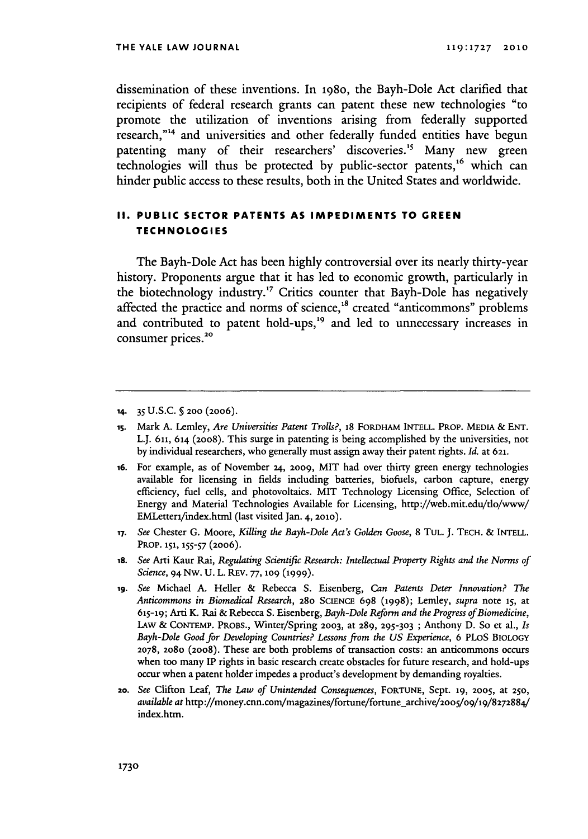dissemination of these inventions. In **1980,** the Bayh-Dole Act clarified that recipients of federal research grants can patent these new technologies "to promote the utilization of inventions arising from federally supported research,"<sup>14</sup> and universities and other federally funded entities have begun patenting many of their researchers' discoveries.<sup>15</sup> Many new green technologies will thus be protected by public-sector patents,<sup>16</sup> which can hinder public access to these results, both in the United States and worldwide.

#### **II. PUBLIC SECTOR PATENTS AS IMPEDIMENTS TO GREEN TECHNOLOGIES**

The Bayh-Dole Act has been **highly** controversial over its nearly thirty-year history. Proponents argue that it has led to economic growth, particularly in the biotechnology industry.<sup>17</sup> Critics counter that Bayh-Dole has negatively affected the practice and norms of science,<sup>18</sup> created "anticommons" problems and contributed to patent hold-ups,<sup>19</sup> and led to unnecessary increases in consumer prices.<sup>20</sup>

- **17.** *See* Chester G. Moore, *Killing the Bayh-Dole Act's Golden Goose,* 8 TUL. **J.** TECH. & INTELL. PROP. **151, 155-57** (2006).
- *18. See* Arti Kaur Rai, *Regulating Scientific Research: Intellectual Property Rights and the Norms of Science,* 94 Nw. **U.** L. REV. **77, 109 (1999).**
- *19. See* Michael A. Heller & Rebecca S. Eisenberg, *Can Patents Deter Innovation? The Anticommons in Biomedical Research,* 28o SCIENCE 698 (1998); Lemley, *supra* note **15,** at **615-19;** Arti K. Rai & Rebecca S. Eisenberg, *Bayh-Dole Reform and the Progress ofBiomedicine,* LAW & CONTEMP. PROBS., Winter/Spring **2003,** at 289, **295-303** ; Anthony D. So et al., *Is Bayh-Dole Good for Developing Countries? Lessons from the US Experience,* 6 PLoS BIOLOGY **2078,** 2o8o (20o8). These are both problems of transaction costs: an anticommons occurs when too many IP rights in basic research create obstacles for future research, and hold-ups occur when a patent holder impedes a product's development by demanding royalties.
- *20. See* Clifton Leaf, *The Law of Unintended Consequences,* FORTUNE, Sept. **19, 2005,** at **250,** *available at http://money.cnn.com/magazines/fortune/fortune\_archive/2005/09/19/8272884/* index.htm.

**<sup>14.</sup>** 35 U.S.C. **§ 200** (2006).

is. Mark A. Lemley, *Are Universities Patent Trolls?,* 18 FORDHAM INTELL. PROP. MEDIA & ENT. L.J. 611, 614 (2008). This surge in patenting is being accomplished by the universities, not by individual researchers, who generally must assign away their patent rights. *Id.* at **621.**

<sup>16.</sup> For example, as of November **24,** 2009, MIT had over thirty green energy technologies available for licensing in fields including batteries, biofuels, carbon capture, energy efficiency, fuel cells, and photovoltaics. MIT Technology Licensing Office, Selection of Energy and Material Technologies Available for Licensing, http://web.mit.edu/tlo/www/ EMletteri/index.html (last visited Jan. 4, **2010).**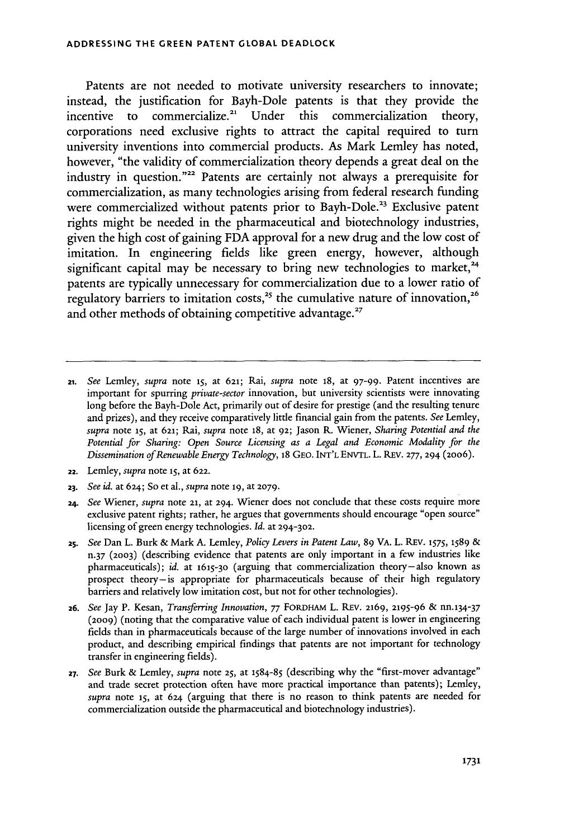Patents are not needed to motivate university researchers to innovate; instead, the justification for Bayh-Dole patents is that they provide the incentive to commercialize.<sup>21</sup> Under this commercialization theory, corporations need exclusive rights to attract the capital required to turn university inventions into commercial products. As Mark Lemley has noted, however, "the validity of commercialization theory depends a great deal on the industry in question."<sup>22</sup> Patents are certainly not always a prerequisite for commercialization, as many technologies arising from federal research funding were commercialized without patents prior to Bayh-Dole.<sup>23</sup> Exclusive patent rights might be needed in the pharmaceutical and biotechnology industries, given the high cost of gaining FDA approval for a new drug and the low cost of imitation. In engineering fields like green energy, however, although significant capital may be necessary to bring new technologies to market,  $24$ patents are typically unnecessary for commercialization due to a lower ratio of regulatory barriers to imitation costs,<sup>25</sup> the cumulative nature of innovation,<sup>26</sup> and other methods of obtaining competitive advantage.<sup>27</sup>

- **21.** *See* Lemley, *supra* note **15,** at **621;** Rai, *supra* note 18, at 97-99. Patent incentives are important for spurring *private-sector* innovation, but university scientists were innovating long before the Bayh-Dole Act, primarily out of desire for prestige (and the resulting tenure and prizes), and they receive comparatively little financial gain from the patents. *See* Lemley, *supra* note **15,** at **621;** Rai, *supra* note 18, at **92;** Jason R. Wiener, *Sharing Potential and the Potential for Sharing: Open Source Licensing as a Legal and Economic Modality for the Dissemination of Renewable Energy Technology,* 18 GEO. INT'L **ENVTL.** L. REV. **277, 294 (2006).**
- **22.** Lemley, *supra* note **15,** at **622.**
- **23.** *See id.* at 624; So et al., *supra* note **19,** at **2079.**
- *24. See* Wiener, *supra* note **21,** at 294. Wiener does not conclude that these costs require more exclusive patent rights; rather, he argues that governments should encourage "open source" licensing of green energy technologies. *Id.* at **294-302.**
- *25. See* Dan L. Burk & Mark A. Lemley, *Policy Levers in Patent Law,* 89 VA. L. REV. **1575, 1589 &** n.37 **(2003)** (describing evidence that patents are only important in a few industries like pharmaceuticals); *id.* at **1615-30** (arguing that commercialization theory-also known as prospect theory-is appropriate for pharmaceuticals because of their high regulatory barriers and relatively low imitation cost, but not for other technologies).
- **26.** *See* Jay P. Kesan, *Transferring Innovation,* **77** FORDHAM L. **REv.** 2169, **2195-96** & nn.134-37 (2009) (noting that the comparative value of each individual patent is lower in engineering fields than in pharmaceuticals because of the large number of innovations involved in each product, and describing empirical findings that patents are not important for technology transfer in engineering fields).
- **27.** *See* Burk & Lemley, *supra* note **25,** at **1584-85** (describing why the "first-mover advantage" and trade secret protection often have more practical importance than patents); Lemley, *supra* note **15,** at 624 (arguing that there is no reason to think patents are needed for commercialization outside the pharmaceutical and biotechnology industries).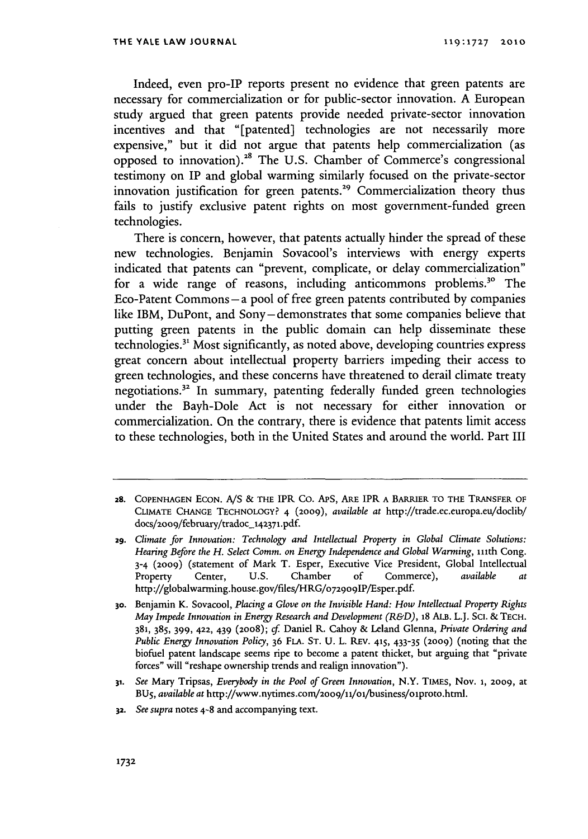Indeed, even pro-IP reports present no evidence that green patents are necessary for commercialization or for public-sector innovation. A European study argued that green patents provide needed private-sector innovation incentives and that "[patented] technologies are not necessarily more expensive," but it did not argue that patents help commercialization (as opposed to innovation).<sup>28</sup> The U.S. Chamber of Commerce's congressional testimony on IP and global warming similarly focused on the private-sector innovation justification for green patents.<sup>29</sup> Commercialization theory thus fails to justify exclusive patent rights on most government-funded green technologies.

There is concern, however, that patents actually hinder the spread of these new technologies. Benjamin Sovacool's interviews with energy experts indicated that patents can "prevent, complicate, or delay commercialization" for a wide range of reasons, including anticommons problems.<sup>30</sup> The Eco-Patent Commons **-a** pool of free green patents contributed by companies like IBM, DuPont, and Sony- demonstrates that some companies believe that putting green patents in the public domain can help disseminate these technologies." Most significantly, as noted above, developing countries express great concern about intellectual property barriers impeding their access to green technologies, and these concerns have threatened to derail climate treaty negotiations.32 In summary, patenting federally funded green technologies under the Bayh-Dole Act is not necessary for either innovation or commercialization. On the contrary, there is evidence that patents limit access to these technologies, both in the United States and around the world. Part III

- **31.** *See* Mary Tripsas, *Everybody in the Pool of Green Innovation,* N.Y. TIMES, Nov. **1, 2009,** at BU 5, *available at* http://www.nytimes.com/2oog/1i/oi/business/olproto.html.
- **32.** *See supra* notes 4-8 and accompanying text.

**a8.** COPENHAGEN ECON. *A/S* & THE IPR Co. APS, ARE IPR A BARRIER TO **THE** TRANSFER OF **CLIMATE** CHANGE TECHNOLOGY? 4 **(2009),** *available at* http://trade.ec.europa.eu/doclib/ docs/2oo9/february/tradoc\_142371.pdf.

**<sup>29.</sup>** *Climate for Innovation: Technology and Intellectual Property in Global Climate Solutions:* Hearing Before the H. Select Comm. on Energy Independence and Global Warming, 111th Cong. 3-4 (2oo9) (statement of Mark T. Esper, Executive Vice President, Global Intellectual Property Center, U.S. Chamber **of** Commerce), *available at* http://globalwarming.house.gov/files/HRG/o729o9IP/Esper.pdf.

**<sup>30.</sup>** Benjamin K. Sovacool, *Placing a Glove on the Invisible Hand: How Intellectual Property Rights May Impede Innovation in Energy Research and Development (R&D),* **18** ALB. L.J. Sci. & TECH. 381, 385, 399, 422, 439 (2008); *cf.* Daniel R. Cahoy & Leland Glenna, *Private Ordering and Public Energy Innovation Policy,* 36 FLA. ST. U. L. REV. **415,** 433-35 (2009) (noting that the biofuel patent landscape seems ripe to become a patent thicket, but arguing that "private forces" will "reshape ownership trends and realign innovation").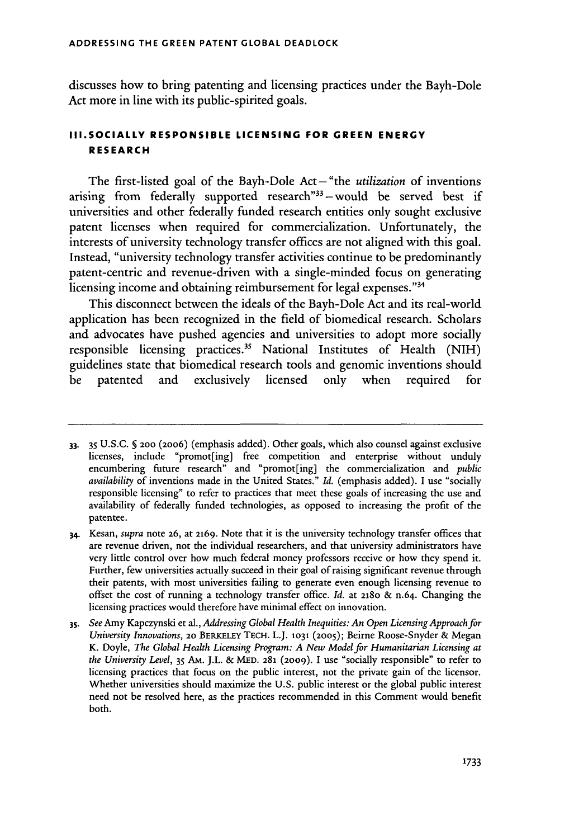discusses how to bring patenting and licensing practices under the Bayh-Dole Act more in line with its public-spirited goals.

## **III.SOCIALLY RESPONSIBLE LICENSING FOR GREEN ENERGY RESEARCH**

The first-listed goal of the Bayh-Dole Act- "the *utilization* of inventions arising from federally supported research" $33$ -would be served best if universities and other federally funded research entities only sought exclusive patent licenses when required for commercialization. Unfortunately, the interests of university technology transfer offices are not aligned with this goal. Instead, "university technology transfer activities continue to be predominantly patent-centric and revenue-driven with a single-minded focus on generating licensing income and obtaining reimbursement for legal expenses."<sup>34</sup>

This disconnect between the ideals of the Bayh-Dole Act and its real-world application has been recognized in the field of biomedical research. Scholars and advocates have pushed agencies and universities to adopt more socially responsible licensing practices.<sup>35</sup> National Institutes of Health (NIH) guidelines state that biomedical research tools and genomic inventions should be patented and exclusively licensed only when required for

<sup>33. 35</sup> U.S.C. **§ 200** (2006) (emphasis added). Other goals, which also counsel against exclusive licenses, include "promot[ing] free competition and enterprise without unduly encumbering future research" and "promot[ing] the commercialization and *public availability* of inventions made in the United States." *Id.* (emphasis added). I use "socially responsible licensing" to refer to practices that meet these goals of increasing the use and availability of federally funded technologies, as opposed to increasing the profit of the patentee.

<sup>34.</sup> Kesan, *supra* note **26,** at **2169.** Note that it is the university technology transfer offices that are revenue driven, not the individual researchers, and that university administrators have very little control over how much federal money professors receive or how they spend it. Further, few universities actually succeed in their goal of raising significant revenue through their patents, with most universities failing to generate even enough licensing revenue to offset the cost of running a technology transfer office. *Id.* at 218o & n.64. Changing the licensing practices would therefore have minimal effect on innovation.

*<sup>3</sup>s. See* Amy Kapczynski et aL, *Addressing Global Health Inequities: An Open Licensing Approach for University Innovations,* **20** BERKELEY **TECH.** L.J. **1031 (2005);** Beirne Roose-Snyder & Megan K. Doyle, *The Global Health Licensing Program: A New Model for Humanitarian Licensing at the University Level,* 35 Am. J.L. & MED. **281** (2009). I use "socially responsible" to refer to licensing practices that focus on the public interest, not the private gain of the licensor. Whether universities should maximize the U.S. public interest or the global public interest need not be resolved here, as the practices recommended in this Comment would benefit both.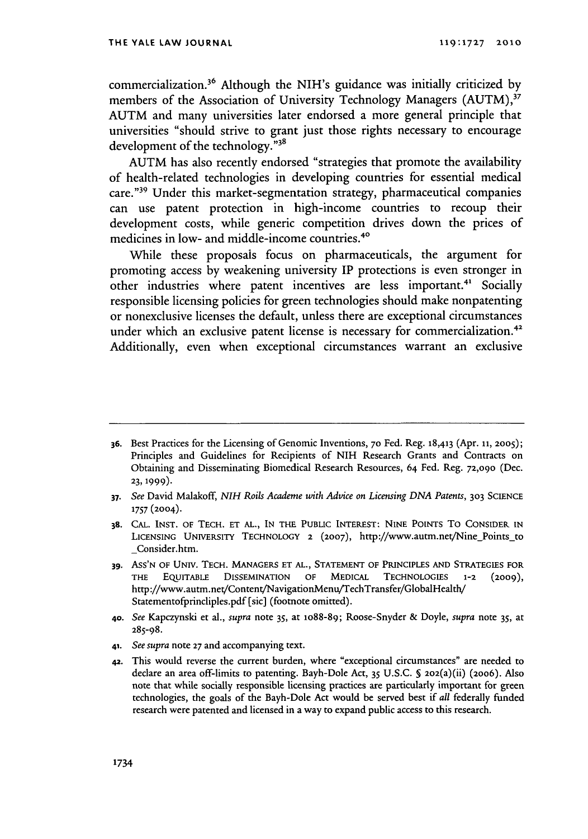commercialization.<sup>36</sup> Although the NIH's guidance was initially criticized by members of the Association of University Technology Managers (AUTM),<sup>37</sup> AUTM and many universities later endorsed a more general principle that universities "should strive to grant just those rights necessary to encourage development of the technology."38

AUTM has also recently endorsed "strategies that promote the availability of health-related technologies in developing countries for essential medical care."39 Under this market-segmentation strategy, pharmaceutical companies can use patent protection in high-income countries to recoup their development costs, while generic competition drives down the prices of medicines in low- and middle-income countries.<sup>40</sup>

While these proposals focus on pharmaceuticals, the argument for promoting access by weakening university IP protections is even stronger in other industries where patent incentives are less important.<sup>41</sup> Socially responsible licensing policies for green technologies should make nonpatenting or nonexclusive licenses the default, unless there are exceptional circumstances under which an exclusive patent license is necessary for commercialization.<sup>42</sup> Additionally, even when exceptional circumstances warrant an exclusive

- *37. See* David Malakoff, *NIH Roils Academe with Advice on Licensing DNA Patents,* **303 SCIENCE 1757** (2004).
- **38. CAL. INST. OF TECH. ET AL., IN THE PUBLIC INTEREST:** NINE POINTS To **CONSIDER IN** LICENSING UNIVERSITY TECHNOLOGY 2 (2007), http://www.autm.net/Nine\_Points\_to \_Consider.htm.
- **39.** ASS'N OF UNIv. **TECH. MANAGERS ET AL., STATEMENT** OF PRINCIPLES **AND STRATEGIES** FOR THE **EQUITABLE** DISSEMINATION **OF** MEDICAL **TECHNOLOGIES 1-2 (2009),** http://www.autm.net/Content/NavigationMenu/TechTransfer/GlobalHealth/ Statementofprincliples.pdf (sic] (footnote omitted).
- **40.** *See* Kapczynski et al., *supra* note *35,* at lo88-89; Roose-Snyder & Doyle, *supra* note *35,* at 285-98.
- 41. *See supra* note **27** and accompanying text.
- **42.** This would reverse the current burden, where "exceptional circumstances" are needed to declare an area off-limits to patenting. Bayh-Dole Act, 35 U.S.C. **S** 202(a)(ii) (20o6). Also note that while socially responsible licensing practices are particularly important for green technologies, the goals of the Bayh-Dole Act would be served best if *all* federally funded research were patented and licensed in a way to expand public access to this research.

**<sup>36.</sup>** Best Practices for the Licensing of Genomic Inventions, **70** Fed. Reg. 18,413 (Apr. **11, 2005);** Principles and Guidelines for Recipients of NIH Research Grants and Contracts on Obtaining and Disseminating Biomedical Research Resources, 64 Fed. Reg. **72,090** (Dec. **23, 1999).**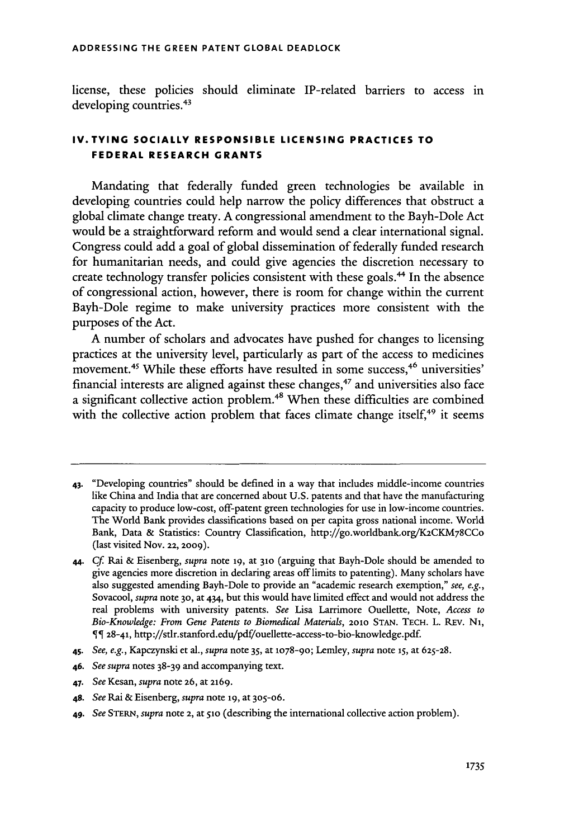license, these policies should eliminate IP-related barriers to access in developing countries.<sup>43</sup>

## **IV.TYING SOCIALLY RESPONSIBLE LICENSING PRACTICES TO FEDERAL RESEARCH GRANTS**

Mandating that federally funded green technologies be available in developing countries could help narrow the policy differences that obstruct a global climate change treaty. A congressional amendment to the Bayh-Dole Act would be a straightforward reform and would send a clear international signal. Congress could add a goal of global dissemination of federally funded research for humanitarian needs, and could give agencies the discretion necessary to create technology transfer policies consistent with these goals.<sup>44</sup> In the absence of congressional action, however, there is room for change within the current Bayh-Dole regime to make university practices more consistent with the purposes of the Act.

A number of scholars and advocates have pushed for changes to licensing practices at the university level, particularly as part of the access to medicines movement.<sup>45</sup> While these efforts have resulted in some success,<sup>46</sup> universities financial interests are aligned against these changes, 47 and universities also face a significant collective action problem.<sup>48</sup> When these difficulties are combined with the collective action problem that faces climate change itself, $49$  it seems

- **46.** *See supra* notes 38-39 and accompanying text.
- 47. *See* Kesan, *supra* note **26,** at **2169.**
- **48.** *See* Rai & Eisenberg, *supra* note **19,** at 305-06.
- **49.** *See* **STERN,** *supra* note **2,** at **51o** (describing the international collective action problem).

<sup>43.</sup> "Developing countries" should be defined in a way that includes middle-income countries like China and India that are concerned about U.S. patents and that have the manufacturing capacity to produce low-cost, off-patent green technologies for use in low-income countries. The World Bank provides classifications based on per capita gross national income. World Bank, Data & Statistics: Country Classification, http://go.worldbank.org/K2CKM78CCo (last visited Nov. **22, 2009).**

<sup>44.</sup> Cf Rai & Eisenberg, *supra* note **19,** at **310** (arguing that Bayh-Dole should be amended to give agencies more discretion in declaring areas off limits to patenting). Many scholars have also suggested amending Bayh-Dole to provide an "academic research exemption," *see, e.g.,* Sovacool, *supra* note **30,** at 434, but this would have limited effect and would not address the real problems with university patents. *See* Lisa Larrimore Ouellette, Note, *Access to Bio-Knowledge: From Gene Patents to Biomedical Materials,* **2010 STAN. TECH.** L. REV. **N1,** 28-41, http://sdr.stanford.edu/pdf/ouellette-access-to-bio-knowledge.pdf.

<sup>45.</sup> *See, e.g.,* Kapczynski et al., *supra* note 35, at 1078-9o; Lemley, *supra* note **15,** at **625-28.**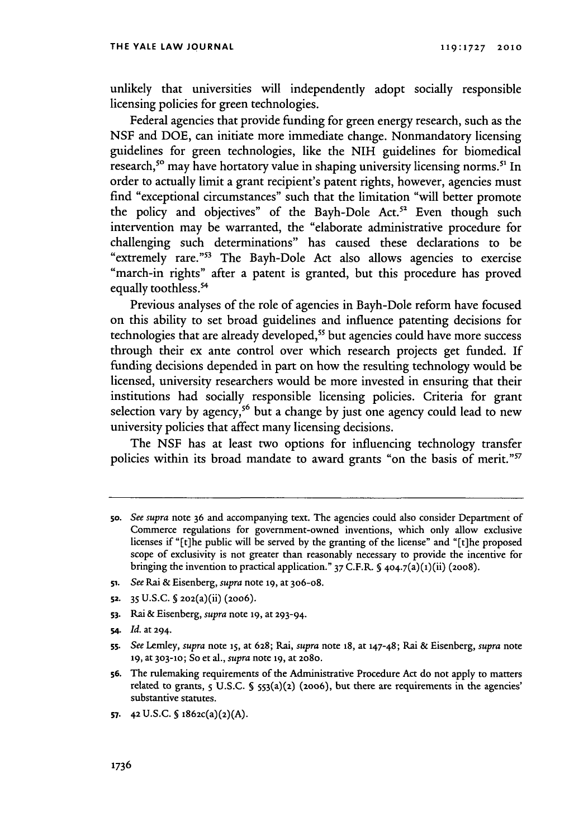unlikely that universities will independently adopt socially responsible licensing policies for green technologies.

Federal agencies that provide funding for green energy research, such as the NSF and DOE, can initiate more immediate change. Nonmandatory licensing guidelines for green technologies, like the NIH guidelines for biomedical research,<sup>50</sup> may have hortatory value in shaping university licensing norms.<sup>51</sup> In order to actually limit a grant recipient's patent rights, however, agencies must find "exceptional circumstances" such that the limitation "will better promote the policy and objectives" of the Bayh-Dole Act.<sup>52</sup> Even though such intervention may be warranted, the "elaborate administrative procedure for challenging such determinations" has caused these declarations to be "extremely rare."<sup>53</sup> The Bayh-Dole Act also allows agencies to exercise "march-in rights" after a patent is granted, but this procedure has proved equally toothless.<sup>54</sup>

Previous analyses of the role of agencies in Bayh-Dole reform have focused on this ability to set broad guidelines and influence patenting decisions for technologies that are already developed,<sup>55</sup> but agencies could have more success through their ex ante control over which research projects get funded. If funding decisions depended in part on how the resulting technology would be licensed, university researchers would be more invested in ensuring that their institutions had socially responsible licensing policies. Criteria for grant selection vary by agency,<sup>56</sup> but a change by just one agency could lead to new university policies that affect many licensing decisions.

The NSF has at least two options for influencing technology transfer policies within its broad mandate to award grants "on the basis of merit."<sup>57</sup>

- **51.** *See* Rai & Eisenberg, *supra* note **19,** at 306-08.
- **52.** 35 U.S.C. S 202(a)(ii) (2006).
- **S3.** Rai & Eisenberg, *supra* note **19,** at 293-94.
- **s4.** *Id.* at 294.

**57. 4 2U.S.C. § 1862c(a)(2)(A).**

**<sup>5</sup>o.** *See supra* note 36 and accompanying text. The agencies could also consider Department of Commerce regulations for government-owned inventions, which only allow exclusive licenses if "[t]he public will be served by the granting of the license" and "[t]he proposed scope of exclusivity is not greater than reasonably necessary to provide the incentive for bringing the invention to practical application." 37 C.F.R. **§** 404.7(a)(1)(ii) (2008).

**ss.** *See* Lemley, *supra* note **15,** at **628;** Rai, *supra* note **18,** at 147-48; Rai & Eisenberg, *supra* note **19,** at **303-10;** So et al., *supra* note **19,** at **2080.**

**<sup>56.</sup>** The rulemaking requirements of the Administrative Procedure Act do not apply to matters related to grants, **5** U.S.C. S 553(a)(2) (2oo6), but there are requirements in the agencies' substantive statutes.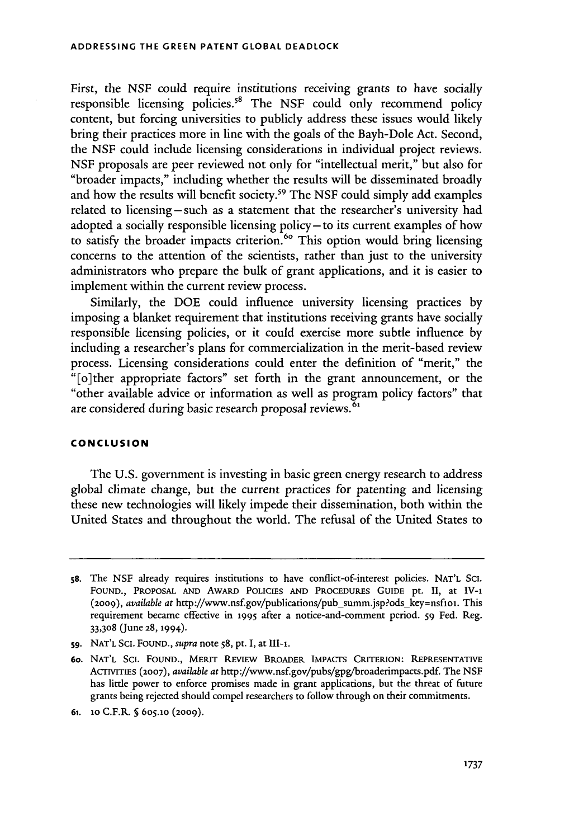First, the NSF could require institutions receiving grants to have socially responsible licensing policies.<sup>58</sup> The NSF could only recommend policy content, but forcing universities to publicly address these issues would likely bring their practices more in line with the goals of the Bayh-Dole Act. Second, the NSF could include licensing considerations in individual project reviews. NSF proposals are peer reviewed not only for "intellectual merit," but also for "broader impacts," including whether the results will be disseminated broadly and how the results will benefit society.<sup>59</sup> The NSF could simply add examples related to licensing - such as a statement that the researcher's university had adopted a socially responsible licensing policy-to its current examples of how to satisfy the broader impacts criterion.<sup>60</sup> This option would bring licensing concerns to the attention of the scientists, rather than just to the university administrators who prepare the bulk of grant applications, and it is easier to implement within the current review process.

Similarly, the DOE could influence university licensing practices by imposing a blanket requirement that institutions receiving grants have socially responsible licensing policies, or it could exercise more subtle influence by including a researcher's plans for commercialization in the merit-based review process. Licensing considerations could enter the definition of "merit," the "[o]ther appropriate factors" set forth in the grant announcement, or the "other available advice or information as well as program policy factors" that are considered during basic research proposal reviews.<sup>6</sup>

#### **CONCLUSION**

The U.S. government is investing in basic green energy research to address global climate change, but the current practices for patenting and licensing these new technologies will likely impede their dissemination, both within the United States and throughout the world. The refusal of the United States to

**<sup>58.</sup>** The NSF already requires institutions to have conflict-of-interest policies. **NAT'L SCI. FOUND.,** PROPOSAL AND AwARD **POLICIES AND PROCEDURES** GUIDE pt. II, at LV-i (2009), *available at* http://www.nsf.gov/publications/pub-sunm.jsp?ods-key=nsfiol. This requirement became effective in **1995** after a notice-and-comment period. **59** Fed. Reg. 33,308 (June **28,** 1994).

**<sup>59.</sup> NAT'L** Sci. **FOUND.,** *supra* note **58,** pt. I, at HI-i.

**<sup>60.</sup> NAT'L** Sci. FOUND., MERIT REvIEw **BROADER** IMPACTS CRITERION: REPRESENTATIVE AcTIvTEs **(2007),** *available at* http://www.nsf.gov/pubs/gpg/broaderimpacts.pdf. The NSF has little power to enforce promises made in grant applications, but the threat of future grants being rejected should compel researchers to follow through on their commitments.

**<sup>61.</sup> lo** C.F.R\_ **§** 605.i0 (2009).